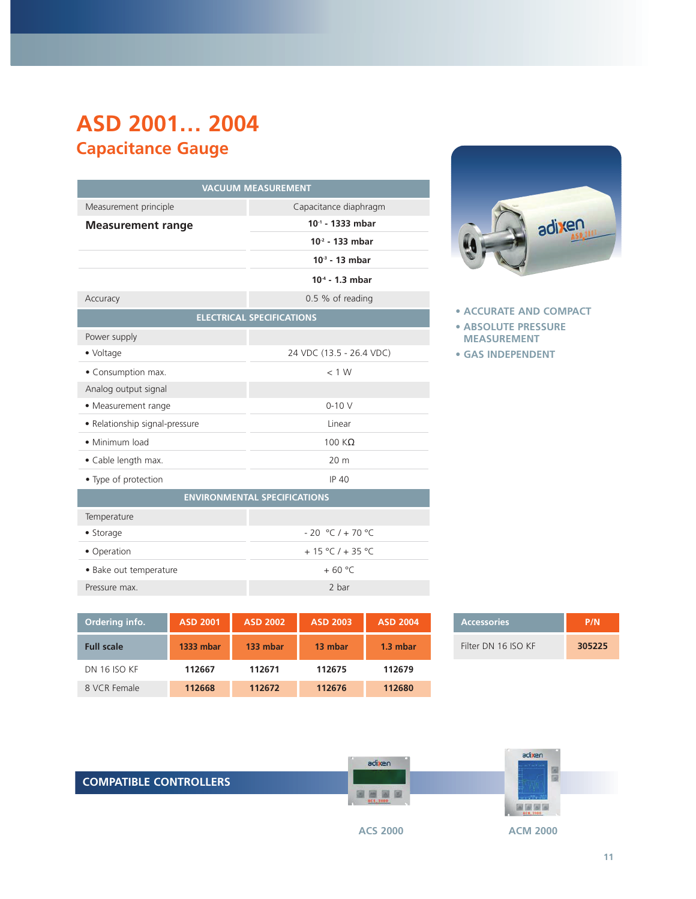## **ASD 2001… 2004 Capacitance Gauge**

| <b>VACUUM MEASUREMENT</b>           |                                  |  |
|-------------------------------------|----------------------------------|--|
| Measurement principle               | Capacitance diaphragm            |  |
| <b>Measurement range</b>            | $10^{-1}$ - 1333 mbar            |  |
|                                     | $102$ - 133 mbar                 |  |
|                                     | $103 - 13$ mbar                  |  |
|                                     | $10-4 - 1.3$ mbar                |  |
| Accuracy                            | 0.5 % of reading                 |  |
|                                     | <b>ELECTRICAL SPECIFICATIONS</b> |  |
| Power supply                        |                                  |  |
| • Voltage                           | 24 VDC (13.5 - 26.4 VDC)         |  |
| • Consumption max.                  | < 1 W                            |  |
| Analog output signal                |                                  |  |
| • Measurement range                 | $0-10V$                          |  |
| • Relationship signal-pressure      | Linear                           |  |
| • Minimum load                      | 100 $K\Omega$                    |  |
| • Cable length max.                 | 20 <sub>m</sub>                  |  |
| • Type of protection                | <b>IP 40</b>                     |  |
| <b>ENVIRONMENTAL SPECIFICATIONS</b> |                                  |  |
| Temperature                         |                                  |  |
| • Storage                           | $-20 °C$ / $+70 °C$              |  |
| · Operation                         | $+15 °C$ / + 35 °C               |  |
| · Bake out temperature              | $+60 °C$                         |  |
| Pressure max.                       | 2 bar                            |  |



| <b>Accessories</b>  | P/N    |
|---------------------|--------|
| Filter DN 16 ISO KF | 305225 |



| adixen |
|--------|
|        |

**• ACCURATE AND COMPACT**

- **ABSOLUTE PRESSURE MEASUREMENT**
- **GAS INDEPENDENT**